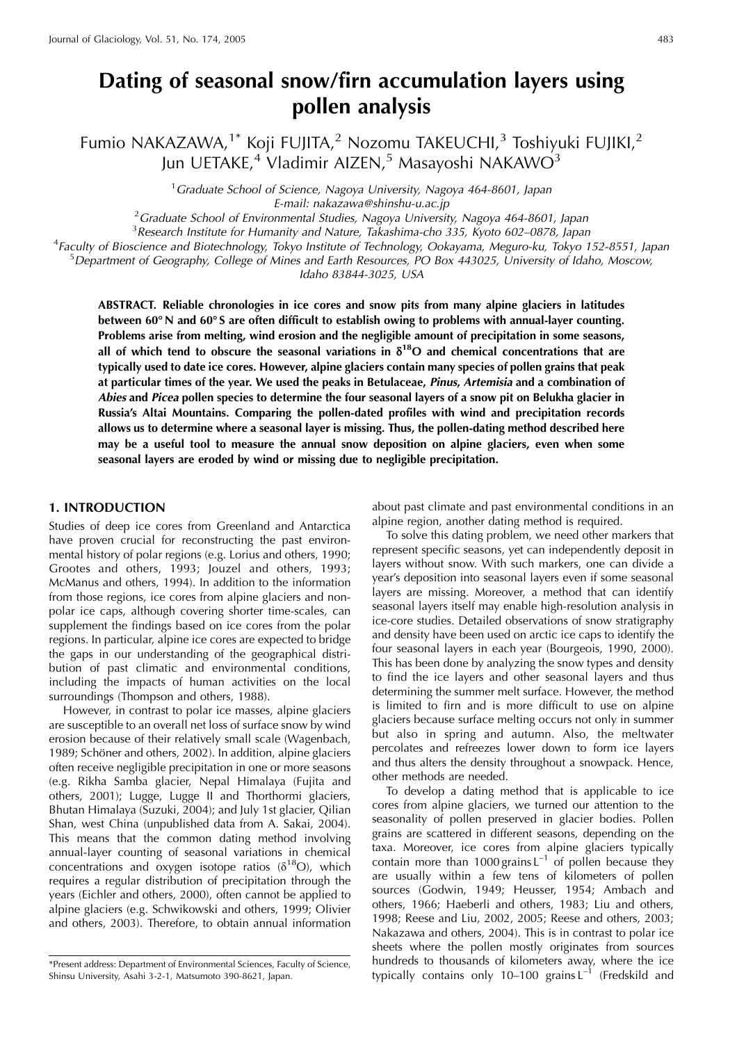# Dating of seasonal snow/firn accumulation layers using pollen analysis

Fumio NAKAZAWA,<sup>1\*</sup> Koji FUJITA,<sup>2</sup> Nozomu TAKEUCHI,<sup>3</sup> Toshiyuki FUJIKI,<sup>2</sup> Jun UETAKE,<sup>4</sup> Vladimir AIZEN,<sup>5</sup> Masayoshi NAKAWO<sup>3</sup>

> <sup>1</sup> Graduate School of Science, Nagoya University, Nagoya 464-8601, Japan E-mail: nakazawa@shinshu-u.ac.jp

<sup>2</sup> Graduate School of Environmental Studies, Nagoya University, Nagoya 464-8601, Japan

<sup>3</sup> Research Institute for Humanity and Nature, Takashima-cho 335, Kyoto 602-0878, Japan

<sup>4</sup>Faculty of Bioscience and Biotechnology, Tokyo Institute of Technology, Ookayama, Meguro-ku, Tokyo 152-8551, Japan

<sup>5</sup>Department of Geography, College of Mines and Earth Resources, PO Box 443025, University of Idaho, Moscow,

Idaho 83844-3025, USA

ABSTRACT. Reliable chronologies in ice cores and snow pits from many alpine glaciers in latitudes between  $60^{\circ}$  N and  $60^{\circ}$  S are often difficult to establish owing to problems with annual-layer counting. Problems arise from melting, wind erosion and the negligible amount of precipitation in some seasons, all of which tend to obscure the seasonal variations in  $\delta^{18}O$  and chemical concentrations that are typically used to date ice cores. However, alpine glaciers contain many species of pollen grains that peak at particular times of the year. We used the peaks in Betulaceae, Pinus, Artemisia and a combination of Abies and Picea pollen species to determine the four seasonal layers of a snow pit on Belukha glacier in Russia's Altai Mountains. Comparing the pollen-dated profiles with wind and precipitation records allows us to determine where a seasonal layer is missing. Thus, the pollen-dating method described here may be a useful tool to measure the annual snow deposition on alpine glaciers, even when some seasonal layers are eroded by wind or missing due to negligible precipitation.

## 1. INTRODUCTION

Studies of deep ice cores from Greenland and Antarctica have proven crucial for reconstructing the past environmental history of polar regions (e.g. Lorius and others, 1990; Grootes and others, 1993; Jouzel and others, 1993; McManus and others, 1994). In addition to the information from those regions, ice cores from alpine glaciers and nonpolar ice caps, although covering shorter time-scales, can supplement the findings based on ice cores from the polar regions. In particular, alpine ice cores are expected to bridge the gaps in our understanding of the geographical distribution of past climatic and environmental conditions, including the impacts of human activities on the local surroundings (Thompson and others, 1988).

However, in contrast to polar ice masses, alpine glaciers are susceptible to an overall net loss of surface snow by wind erosion because of their relatively small scale (Wagenbach, 1989; Schöner and others, 2002). In addition, alpine glaciers often receive negligible precipitation in one or more seasons (e.g. Rikha Samba glacier, Nepal Himalaya (Fujita and others, 2001); Lugge, Lugge II and Thorthormi glaciers, Bhutan Himalaya (Suzuki, 2004); and July 1st glacier, Qilian Shan, west China (unpublished data from A. Sakai, 2004). This means that the common dating method involving annual-layer counting of seasonal variations in chemical concentrations and oxygen isotope ratios ( $\delta^{18}O$ ), which requires a regular distribution of precipitation through the years (Eichler and others, 2000), often cannot be applied to alpine glaciers (e.g. Schwikowski and others, 1999; Olivier and others, 2003). Therefore, to obtain annual information

about past climate and past environmental conditions in an alpine region, another dating method is required.

To solve this dating problem, we need other markers that represent specific seasons, yet can independently deposit in layers without snow. With such markers, one can divide a year's deposition into seasonal layers even if some seasonal layers are missing. Moreover, a method that can identify seasonal layers itself may enable high-resolution analysis in ice-core studies. Detailed observations of snow stratigraphy and density have been used on arctic ice caps to identify the four seasonal layers in each year (Bourgeois, 1990, 2000). This has been done by analyzing the snow types and density to find the ice layers and other seasonal layers and thus determining the summer melt surface. However, the method is limited to firn and is more difficult to use on alpine glaciers because surface melting occurs not only in summer but also in spring and autumn. Also, the meltwater percolates and refreezes lower down to form ice layers and thus alters the density throughout a snowpack. Hence, other methods are needed.

To develop a dating method that is applicable to ice cores from alpine glaciers, we turned our attention to the seasonality of pollen preserved in glacier bodies. Pollen grains are scattered in different seasons, depending on the taxa. Moreover, ice cores from alpine glaciers typically contain more than 1000 grains  $L^{-1}$  of pollen because they are usually within a few tens of kilometers of pollen sources (Godwin, 1949; Heusser, 1954; Ambach and others, 1966; Haeberli and others, 1983; Liu and others, 1998; Reese and Liu, 2002, 2005; Reese and others, 2003; Nakazawa and others, 2004). This is in contrast to polar ice sheets where the pollen mostly originates from sources hundreds to thousands of kilometers away, where the ice typically contains only 10–100 grains  $L^{-1}$  (Fredskild and

<sup>\*</sup>Present address: Department of Environmental Sciences, Faculty of Science, Shinsu University, Asahi 3-2-1, Matsumoto 390-8621, Japan.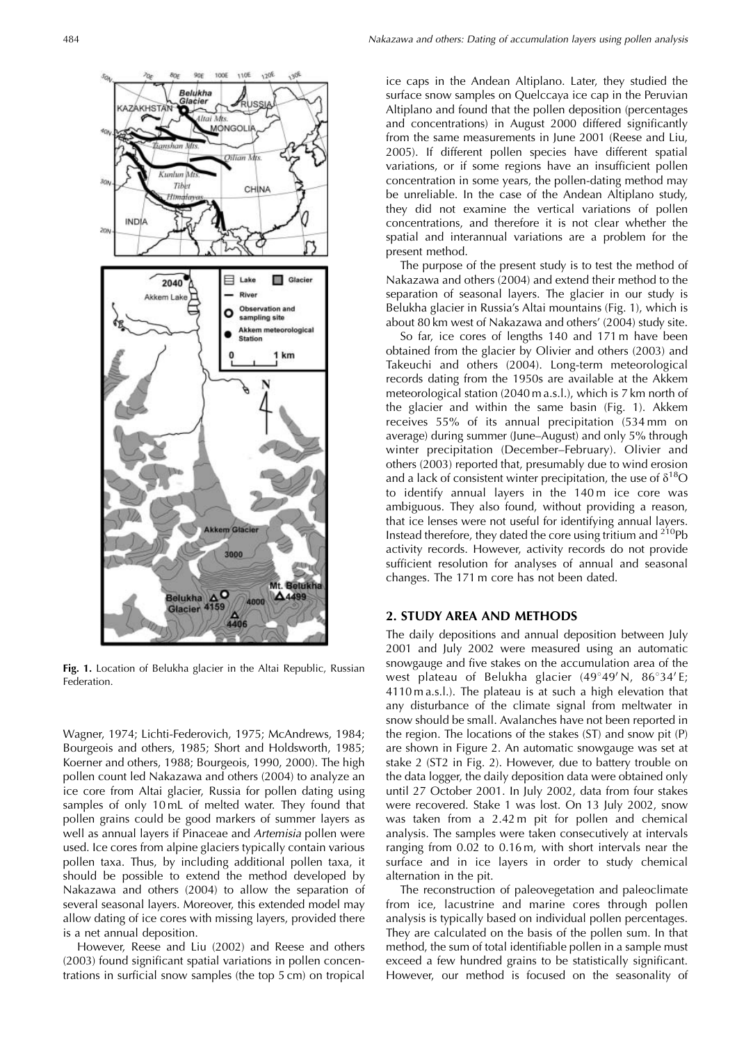

Fig. 1. Location of Belukha glacier in the Altai Republic, Russian Federation.

Wagner, 1974; Lichti-Federovich, 1975; McAndrews, 1984; Bourgeois and others, 1985; Short and Holdsworth, 1985; Koerner and others, 1988; Bourgeois, 1990, 2000). The high pollen count led Nakazawa and others (2004) to analyze an ice core from Altai glacier, Russia for pollen dating using samples of only 10 mL of melted water. They found that pollen grains could be good markers of summer layers as well as annual layers if Pinaceae and Artemisia pollen were used. Ice cores from alpine glaciers typically contain various pollen taxa. Thus, by including additional pollen taxa, it should be possible to extend the method developed by Nakazawa and others (2004) to allow the separation of several seasonal layers. Moreover, this extended model may allow dating of ice cores with missing layers, provided there is a net annual deposition.

However, Reese and Liu (2002) and Reese and others (2003) found significant spatial variations in pollen concentrations in surficial snow samples (the top 5 cm) on tropical

ice caps in the Andean Altiplano. Later, they studied the surface snow samples on Quelccaya ice cap in the Peruvian Altiplano and found that the pollen deposition (percentages and concentrations) in August 2000 differed significantly from the same measurements in June 2001 (Reese and Liu, 2005). If different pollen species have different spatial variations, or if some regions have an insufficient pollen concentration in some years, the pollen-dating method may be unreliable. In the case of the Andean Altiplano study, they did not examine the vertical variations of pollen concentrations, and therefore it is not clear whether the spatial and interannual variations are a problem for the present method.

The purpose of the present study is to test the method of Nakazawa and others (2004) and extend their method to the separation of seasonal layers. The glacier in our study is Belukha glacier in Russia's Altai mountains (Fig. 1), which is about 80 km west of Nakazawa and others' (2004) study site.

So far, ice cores of lengths 140 and 171 m have been obtained from the glacier by Olivier and others (2003) and Takeuchi and others (2004). Long-term meteorological records dating from the 1950s are available at the Akkem meteorological station (2040 m a.s.l.), which is 7 km north of the glacier and within the same basin (Fig. 1). Akkem receives 55% of its annual precipitation (534mm on average) during summer (June-August) and only 5% through winter precipitation (December-February). Olivier and others (2003) reported that, presumably due to wind erosion and a lack of consistent winter precipitation, the use of  $\delta^{18}O$ to identify annual layers in the 140m ice core was ambiguous. They also found, without providing a reason, that ice lenses were not useful for identifying annual layers. Instead therefore, they dated the core using tritium and  $^{210}Pb$ activity records. However, activity records do not provide sufficient resolution for analyses of annual and seasonal changes. The 171 m core has not been dated.

## 2. STUDY AREA AND METHODS

The daily depositions and annual deposition between July 2001 and July 2002 were measured using an automatic snowgauge and five stakes on the accumulation area of the west plateau of Belukha glacier  $(49^{\circ}49' N, 86^{\circ}34' E;$ 4110 m a.s.l.). The plateau is at such a high elevation that any disturbance of the climate signal from meltwater in snow should be small. Avalanches have not been reported in the region. The locations of the stakes  $(ST)$  and snow pit  $(P)$ are shown in Figure 2. An automatic snowgauge was set at stake 2 (ST2 in Fig. 2). However, due to battery trouble on the data logger, the daily deposition data were obtained only until 27 October 2001. In July 2002, data from four stakes were recovered. Stake 1 was lost. On 13 July 2002, snow was taken from a 2.42 m pit for pollen and chemical analysis. The samples were taken consecutively at intervals ranging from 0.02 to 0.16 m, with short intervals near the surface and in ice layers in order to study chemical alternation in the pit.

The reconstruction of paleovegetation and paleoclimate from ice, lacustrine and marine cores through pollen analysis is typically based on individual pollen percentages. They are calculated on the basis of the pollen sum. In that method, the sum of total identifiable pollen in a sample must exceed a few hundred grains to be statistically significant. However, our method is focused on the seasonality of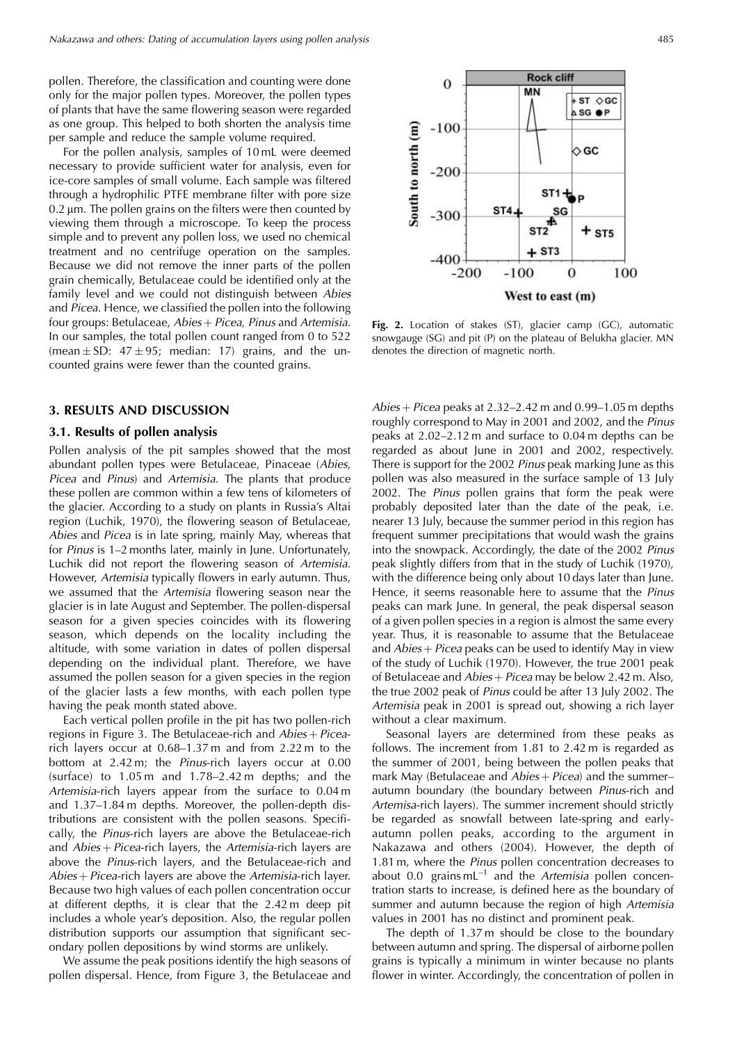pollen. Therefore, the classification and counting were done only for the major pollen types. Moreover, the pollen types of plants that have the same flowering season were regarded as one group. This helped to both shorten the analysis time per sample and reduce the sample volume required.

For the pollen analysis, samples of 10 mL were deemed necessary to provide sufficient water for analysis, even for ice-core samples of small volume. Each sample was filtered through a hydrophilic PTFE membrane filter with pore size  $0.2 \mu$ m. The pollen grains on the filters were then counted by viewing them through a microscope. To keep the process simple and to prevent any pollen loss, we used no chemical treatment and no centrifuge operation on the samples. Because we did not remove the inner parts of the pollen grain chemically, Betulaceae could be identified only at the family level and we could not distinguish between Abies and Picea. Hence, we classified the pollen into the following four groups: Betulaceae,  $Abies + Picea$ , Pinus and Artemisia. In our samples, the total pollen count ranged from 0 to 522 (mean  $\pm$  SD: 47  $\pm$  95; median: 17) grains, and the uncounted grains were fewer than the counted grains.

## **3. RESULTS AND DISCUSSION**

#### 3.1. Results of pollen analysis

Pollen analysis of the pit samples showed that the most abundant pollen types were Betulaceae, Pinaceae (Abies, Picea and Pinus) and Artemisia. The plants that produce these pollen are common within a few tens of kilometers of the glacier. According to a study on plants in Russia's Altai region (Luchik, 1970), the flowering season of Betulaceae, Abies and Picea is in late spring, mainly May, whereas that for Pinus is 1-2 months later, mainly in June. Unfortunately, Luchik did not report the flowering season of Artemisia. However, Artemisia typically flowers in early autumn. Thus, we assumed that the Artemisia flowering season near the glacier is in late August and September. The pollen-dispersal season for a given species coincides with its flowering season, which depends on the locality including the altitude, with some variation in dates of pollen dispersal depending on the individual plant. Therefore, we have assumed the pollen season for a given species in the region of the glacier lasts a few months, with each pollen type having the peak month stated above.

Each vertical pollen profile in the pit has two pollen-rich regions in Figure 3. The Betulaceae-rich and  $Abies + Picea$ rich layers occur at 0.68–1.37 m and from 2.22 m to the bottom at 2.42 m; the Pinus-rich layers occur at 0.00 (surface) to  $1.05 \text{ m}$  and  $1.78-2.42 \text{ m}$  depths; and the Artemisia-rich layers appear from the surface to 0.04 m and 1.37-1.84 m depths. Moreover, the pollen-depth distributions are consistent with the pollen seasons. Specifically, the Pinus-rich layers are above the Betulaceae-rich and  $Abies + Picea$ -rich layers, the Artemisia-rich layers are above the Pinus-rich layers, and the Betulaceae-rich and  $Abies + Picea$ -rich layers are above the Artemisia-rich layer. Because two high values of each pollen concentration occur at different depths, it is clear that the 2.42 m deep pit includes a whole year's deposition. Also, the regular pollen distribution supports our assumption that significant secondary pollen depositions by wind storms are unlikely.

We assume the peak positions identify the high seasons of pollen dispersal. Hence, from Figure 3, the Betulaceae and



Fig. 2. Location of stakes (ST), glacier camp (GC), automatic snowgauge (SG) and pit (P) on the plateau of Belukha glacier. MN denotes the direction of magnetic north.

Abies + Picea peaks at  $2.32-2.42$  m and  $0.99-1.05$  m depths roughly correspond to May in 2001 and 2002, and the Pinus peaks at 2.02-2.12 m and surface to 0.04 m depths can be regarded as about June in 2001 and 2002, respectively. There is support for the 2002 Pinus peak marking June as this pollen was also measured in the surface sample of 13 July 2002. The Pinus pollen grains that form the peak were probably deposited later than the date of the peak, i.e. nearer 13 July, because the summer period in this region has frequent summer precipitations that would wash the grains into the snowpack. Accordingly, the date of the 2002 Pinus peak slightly differs from that in the study of Luchik (1970), with the difference being only about 10 days later than June. Hence, it seems reasonable here to assume that the Pinus peaks can mark June. In general, the peak dispersal season of a given pollen species in a region is almost the same every year. Thus, it is reasonable to assume that the Betulaceae and Abies + Picea peaks can be used to identify May in view of the study of Luchik (1970). However, the true 2001 peak of Betulaceae and  $Abies + Picea$  may be below 2.42 m. Also, the true 2002 peak of Pinus could be after 13 July 2002. The Artemisia peak in 2001 is spread out, showing a rich layer without a clear maximum.

Seasonal layers are determined from these peaks as follows. The increment from 1.81 to 2.42 m is regarded as the summer of 2001, being between the pollen peaks that mark May (Betulaceae and Abies + Picea) and the summerautumn boundary (the boundary between Pinus-rich and Artemisa-rich layers). The summer increment should strictly be regarded as snowfall between late-spring and earlyautumn pollen peaks, according to the argument in Nakazawa and others (2004). However, the depth of 1.81 m, where the Pinus pollen concentration decreases to about 0.0 grains  $mL^{-1}$  and the *Artemisia* pollen concentration starts to increase, is defined here as the boundary of summer and autumn because the region of high Artemisia values in 2001 has no distinct and prominent peak.

The depth of 1.37 m should be close to the boundary between autumn and spring. The dispersal of airborne pollen grains is typically a minimum in winter because no plants flower in winter. Accordingly, the concentration of pollen in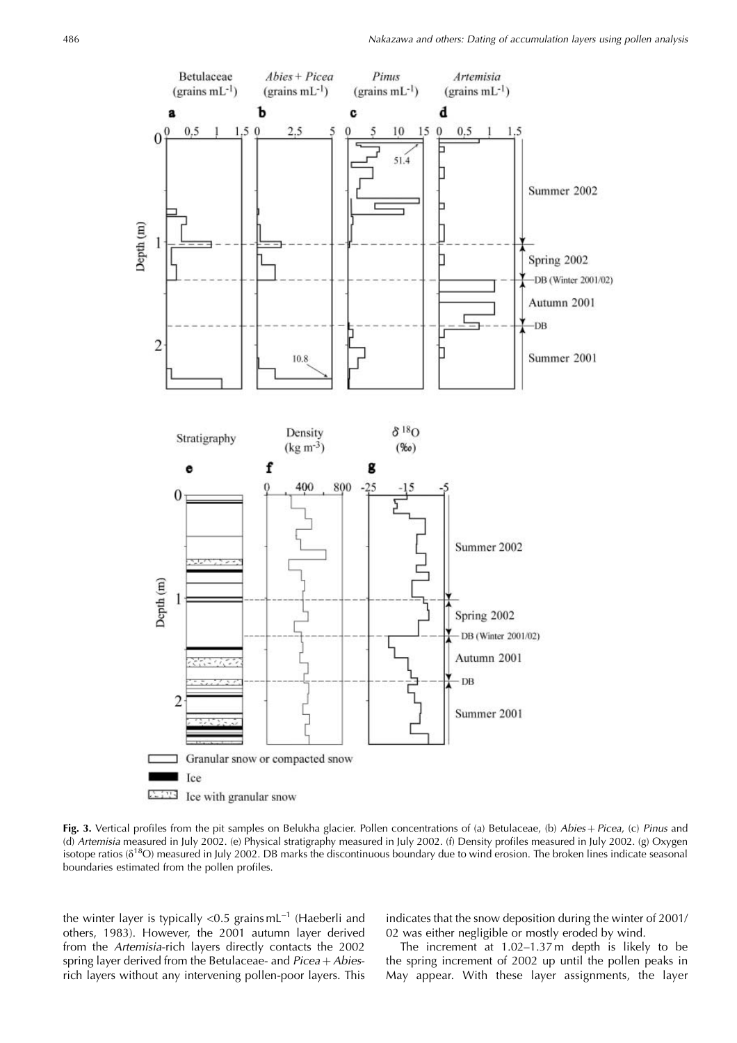

Fig. 3. Vertical profiles from the pit samples on Belukha glacier. Pollen concentrations of (a) Betulaceae, (b) Abies + Picea, (c) Pinus and (d) Artemisia measured in July 2002. (e) Physical stratigraphy measured in July 2002. (f) Density profiles measured in July 2002. (g) Oxygen isotope ratios ( $\delta^{18}O$ ) measured in July 2002. DB marks the discontinuous boundary due to wind erosion. The broken lines indicate seasonal boundaries estimated from the pollen profiles.

the winter layer is typically < $0.5$  grains mL<sup>-1</sup> (Haeberli and others, 1983). However, the 2001 autumn layer derived from the Artemisia-rich layers directly contacts the 2002 spring layer derived from the Betulaceae- and  $Picea + Abies$ rich layers without any intervening pollen-poor layers. This

indicates that the snow deposition during the winter of 2001/ 02 was either negligible or mostly eroded by wind.

The increment at  $1.02-1.37$  m depth is likely to be the spring increment of 2002 up until the pollen peaks in May appear. With these layer assignments, the layer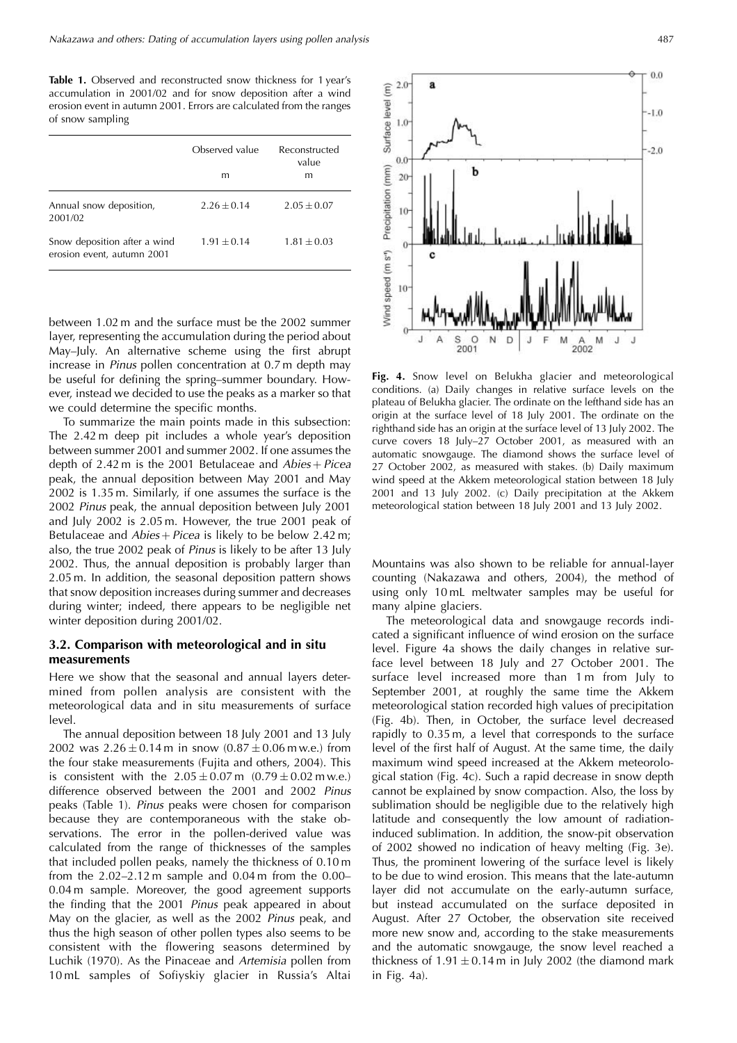Table 1. Observed and reconstructed snow thickness for 1 year's accumulation in 2001/02 and for snow deposition after a wind erosion event in autumn 2001. Errors are calculated from the ranges of snow sampling

|                                                            | Observed value<br>m | Reconstructed<br>value<br>m |
|------------------------------------------------------------|---------------------|-----------------------------|
| Annual snow deposition,<br>2001/02                         | $2.26 + 0.14$       | $2.05 + 0.07$               |
| Snow deposition after a wind<br>erosion event, autumn 2001 | $1.91 \pm 0.14$     | $1.81 + 0.03$               |

between 1.02 m and the surface must be the 2002 summer layer, representing the accumulation during the period about May-July. An alternative scheme using the first abrupt increase in *Pinus* pollen concentration at 0.7 m depth may be useful for defining the spring-summer boundary. However, instead we decided to use the peaks as a marker so that we could determine the specific months.

To summarize the main points made in this subsection: The 2.42 m deep pit includes a whole year's deposition between summer 2001 and summer 2002. If one assumes the depth of  $2.42$  m is the 2001 Betulaceae and Abies + Picea peak, the annual deposition between May 2001 and May 2002 is 1.35 m. Similarly, if one assumes the surface is the 2002 Pinus peak, the annual deposition between July 2001 and July 2002 is 2.05 m. However, the true 2001 peak of Betulaceae and  $Abies + Picea$  is likely to be below 2.42 m; also, the true 2002 peak of Pinus is likely to be after 13 July 2002. Thus, the annual deposition is probably larger than 2.05 m. In addition, the seasonal deposition pattern shows that snow deposition increases during summer and decreases during winter; indeed, there appears to be negligible net winter deposition during 2001/02.

#### 3.2. Comparison with meteorological and in situ measurements

Here we show that the seasonal and annual layers determined from pollen analysis are consistent with the meteorological data and in situ measurements of surface level.

The annual deposition between 18 July 2001 and 13 July 2002 was  $2.26 \pm 0.14$  m in snow  $(0.87 \pm 0.06$  m w.e.) from the four stake measurements (Fujita and others, 2004). This is consistent with the  $2.05 \pm 0.07$  m  $(0.79 \pm 0.02$  m w.e.) difference observed between the 2001 and 2002 Pinus peaks (Table 1). Pinus peaks were chosen for comparison because they are contemporaneous with the stake observations. The error in the pollen-derived value was calculated from the range of thicknesses of the samples that included pollen peaks, namely the thickness of 0.10 m from the  $2.02-2.12$  m sample and  $0.04$  m from the  $0.00-$ 0.04 m sample. Moreover, the good agreement supports the finding that the 2001 Pinus peak appeared in about May on the glacier, as well as the 2002 Pinus peak, and thus the high season of other pollen types also seems to be consistent with the flowering seasons determined by Luchik (1970). As the Pinaceae and Artemisia pollen from 10 mL samples of Sofiyskiy glacier in Russia's Altai



Fig. 4. Snow level on Belukha glacier and meteorological conditions. (a) Daily changes in relative surface levels on the plateau of Belukha glacier. The ordinate on the lefthand side has an origin at the surface level of 18 July 2001. The ordinate on the righthand side has an origin at the surface level of 13 July 2002. The curve covers 18 July-27 October 2001, as measured with an automatic snowgauge. The diamond shows the surface level of 27 October 2002, as measured with stakes. (b) Daily maximum wind speed at the Akkem meteorological station between 18 July 2001 and 13 July 2002. (c) Daily precipitation at the Akkem meteorological station between 18 July 2001 and 13 July 2002.

Mountains was also shown to be reliable for annual-layer counting (Nakazawa and others, 2004), the method of using only 10 mL meltwater samples may be useful for many alpine glaciers.

The meteorological data and snowgauge records indicated a significant influence of wind erosion on the surface level. Figure 4a shows the daily changes in relative surface level between 18 July and 27 October 2001. The surface level increased more than 1 m from July to September 2001, at roughly the same time the Akkem meteorological station recorded high values of precipitation (Fig. 4b). Then, in October, the surface level decreased rapidly to 0.35 m, a level that corresponds to the surface level of the first half of August. At the same time, the daily maximum wind speed increased at the Akkem meteorological station (Fig. 4c). Such a rapid decrease in snow depth cannot be explained by snow compaction. Also, the loss by sublimation should be negligible due to the relatively high latitude and consequently the low amount of radiationinduced sublimation. In addition, the snow-pit observation of 2002 showed no indication of heavy melting (Fig. 3e). Thus, the prominent lowering of the surface level is likely to be due to wind erosion. This means that the late-autumn layer did not accumulate on the early-autumn surface, but instead accumulated on the surface deposited in August. After 27 October, the observation site received more new snow and, according to the stake measurements and the automatic snowgauge, the snow level reached a thickness of  $1.91 \pm 0.14$  m in July 2002 (the diamond mark in Fig. 4a).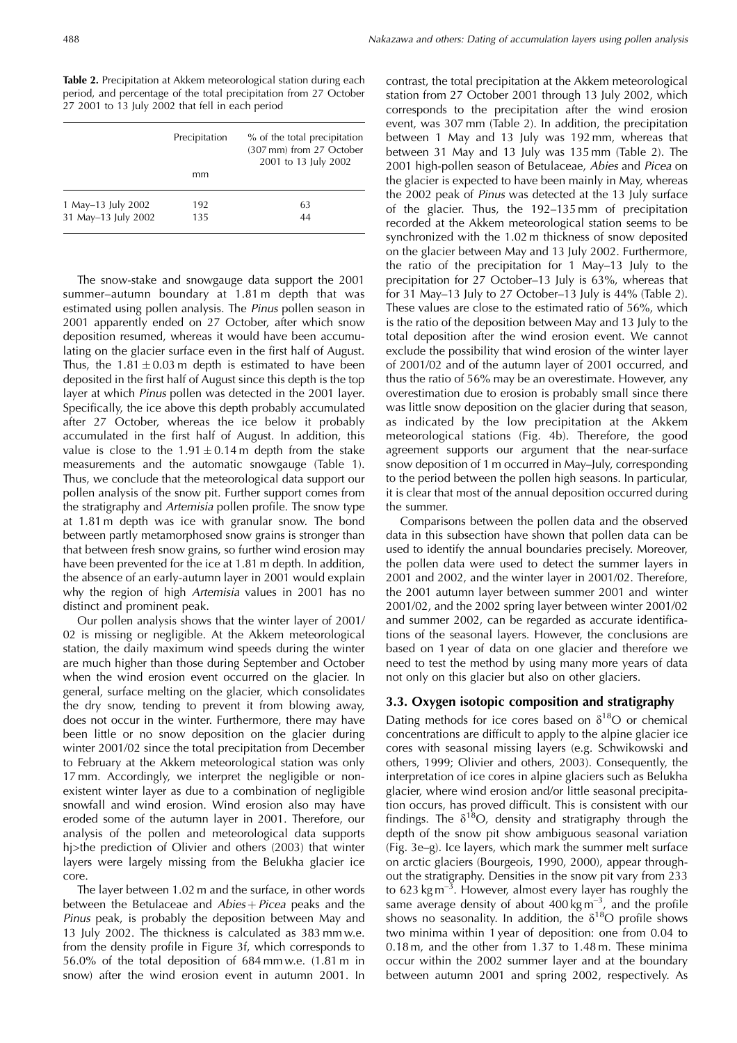| <b>Table 2.</b> Precipitation at Akkem meteorological station during each |
|---------------------------------------------------------------------------|
| period, and percentage of the total precipitation from 27 October         |
| 27 2001 to 13 July 2002 that fell in each period                          |

|                     | Precipitation | % of the total precipitation<br>(307 mm) from 27 October<br>2001 to 13 July 2002 |
|---------------------|---------------|----------------------------------------------------------------------------------|
|                     | mm            |                                                                                  |
| 1 May-13 July 2002  | 192           | 63                                                                               |
| 31 May-13 July 2002 | 135           | 44                                                                               |

The snow-stake and snowgauge data support the 2001 summer-autumn boundary at 1.81 m depth that was estimated using pollen analysis. The Pinus pollen season in 2001 apparently ended on 27 October, after which snow deposition resumed, whereas it would have been accumulating on the glacier surface even in the first half of August. Thus, the  $1.81 \pm 0.03$  m depth is estimated to have been deposited in the first half of August since this depth is the top layer at which Pinus pollen was detected in the 2001 layer. Specifically, the ice above this depth probably accumulated after 27 October, whereas the ice below it probably accumulated in the first half of August. In addition, this value is close to the  $1.91 \pm 0.14$  m depth from the stake measurements and the automatic snowgauge (Table 1). Thus, we conclude that the meteorological data support our pollen analysis of the snow pit. Further support comes from the stratigraphy and Artemisia pollen profile. The snow type at 1.81 m depth was ice with granular snow. The bond between partly metamorphosed snow grains is stronger than that between fresh snow grains, so further wind erosion may have been prevented for the ice at 1.81 m depth. In addition, the absence of an early-autumn layer in 2001 would explain why the region of high Artemisia values in 2001 has no distinct and prominent peak.

Our pollen analysis shows that the winter layer of 2001/ 02 is missing or negligible. At the Akkem meteorological station, the daily maximum wind speeds during the winter are much higher than those during September and October when the wind erosion event occurred on the glacier. In general, surface melting on the glacier, which consolidates the dry snow, tending to prevent it from blowing away, does not occur in the winter. Furthermore, there may have been little or no snow deposition on the glacier during winter 2001/02 since the total precipitation from December to February at the Akkem meteorological station was only 17 mm. Accordingly, we interpret the negligible or nonexistent winter layer as due to a combination of negligible snowfall and wind erosion. Wind erosion also may have eroded some of the autumn layer in 2001. Therefore, our analysis of the pollen and meteorological data supports hj>the prediction of Olivier and others (2003) that winter layers were largely missing from the Belukha glacier ice core.

The layer between 1.02 m and the surface, in other words between the Betulaceae and Abies + Picea peaks and the Pinus peak, is probably the deposition between May and 13 July 2002. The thickness is calculated as 383 mm w.e. from the density profile in Figure 3f, which corresponds to 56.0% of the total deposition of 684 mm w.e. (1.81 m in snow) after the wind erosion event in autumn 2001. In

contrast, the total precipitation at the Akkem meteorological station from 27 October 2001 through 13 July 2002, which corresponds to the precipitation after the wind erosion event, was 307 mm (Table 2). In addition, the precipitation between 1 May and 13 July was 192 mm, whereas that between 31 May and 13 July was 135 mm (Table 2). The 2001 high-pollen season of Betulaceae, Abies and Picea on the glacier is expected to have been mainly in May, whereas the 2002 peak of Pinus was detected at the 13 July surface of the glacier. Thus, the 192-135 mm of precipitation recorded at the Akkem meteorological station seems to be synchronized with the 1.02 m thickness of snow deposited on the glacier between May and 13 July 2002. Furthermore, the ratio of the precipitation for 1 May-13 July to the precipitation for 27 October-13 July is 63%, whereas that for 31 May–13 July to 27 October–13 July is  $44\%$  (Table 2). These values are close to the estimated ratio of 56%, which is the ratio of the deposition between May and 13 July to the total deposition after the wind erosion event. We cannot exclude the possibility that wind erosion of the winter layer of 2001/02 and of the autumn layer of 2001 occurred, and thus the ratio of 56% may be an overestimate. However, any overestimation due to erosion is probably small since there was little snow deposition on the glacier during that season, as indicated by the low precipitation at the Akkem meteorological stations (Fig. 4b). Therefore, the good agreement supports our argument that the near-surface snow deposition of 1 m occurred in May-July, corresponding to the period between the pollen high seasons. In particular, it is clear that most of the annual deposition occurred during the summer.

Comparisons between the pollen data and the observed data in this subsection have shown that pollen data can be used to identify the annual boundaries precisely. Moreover, the pollen data were used to detect the summer layers in 2001 and 2002, and the winter layer in 2001/02. Therefore, the 2001 autumn layer between summer 2001 and winter 2001/02, and the 2002 spring layer between winter 2001/02 and summer 2002, can be regarded as accurate identifications of the seasonal layers. However, the conclusions are based on 1 year of data on one glacier and therefore we need to test the method by using many more years of data not only on this glacier but also on other glaciers.

# 3.3. Oxygen isotopic composition and stratigraphy

Dating methods for ice cores based on  $\delta^{18}$ O or chemical concentrations are difficult to apply to the alpine glacier ice cores with seasonal missing layers (e.g. Schwikowski and others, 1999; Olivier and others, 2003). Consequently, the interpretation of ice cores in alpine glaciers such as Belukha glacier, where wind erosion and/or little seasonal precipitation occurs, has proved difficult. This is consistent with our findings. The  $\delta^{18}O$ , density and stratigraphy through the depth of the snow pit show ambiguous seasonal variation (Fig. 3e-g). Ice layers, which mark the summer melt surface on arctic glaciers (Bourgeois, 1990, 2000), appear throughout the stratigraphy. Densities in the snow pit vary from 233 to 623 kg  $\text{m}^{-3}$ . However, almost every layer has roughly the same average density of about  $400 \text{ kg m}^{-3}$ , and the profile shows no seasonality. In addition, the  $\delta^{18}O$  profile shows two minima within 1 year of deposition: one from 0.04 to  $0.18$  m, and the other from 1.37 to 1.48 m. These minima occur within the 2002 summer layer and at the boundary between autumn 2001 and spring 2002, respectively. As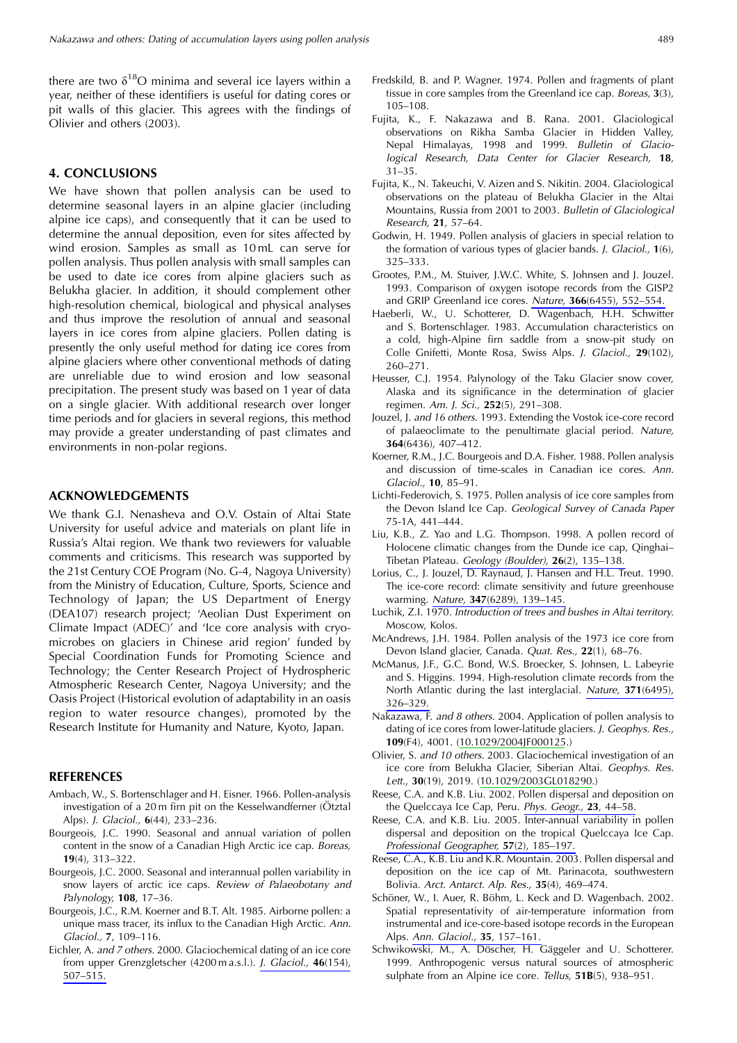there are two  $\delta^{18}O$  minima and several ice layers within a year, neither of these identifiers is useful for dating cores or pit walls of this glacier. This agrees with the findings of Olivier and others (2003).

### **4. CONCLUSIONS**

We have shown that pollen analysis can be used to determine seasonal layers in an alpine glacier (including alpine ice caps), and consequently that it can be used to determine the annual deposition, even for sites affected by wind erosion. Samples as small as 10 mL can serve for pollen analysis. Thus pollen analysis with small samples can be used to date ice cores from alpine glaciers such as Belukha glacier. In addition, it should complement other high-resolution chemical, biological and physical analyses and thus improve the resolution of annual and seasonal layers in ice cores from alpine glaciers. Pollen dating is presently the only useful method for dating ice cores from alpine glaciers where other conventional methods of dating are unreliable due to wind erosion and low seasonal precipitation. The present study was based on 1 year of data on a single glacier. With additional research over longer time periods and for glaciers in several regions, this method may provide a greater understanding of past climates and environments in non-polar regions.

#### **ACKNOWLEDGEMENTS**

We thank G.I. Nenasheva and O.V. Ostain of Altai State University for useful advice and materials on plant life in Russia's Altai region. We thank two reviewers for valuable comments and criticisms. This research was supported by the 21st Century COE Program (No. G-4, Nagoya University) from the Ministry of Education, Culture, Sports, Science and Technology of Japan; the US Department of Energy (DEA107) research project; 'Aeolian Dust Experiment on Climate Impact (ADEC)' and 'Ice core analysis with cryomicrobes on glaciers in Chinese arid region' funded by Special Coordination Funds for Promoting Science and Technology; the Center Research Project of Hydrospheric Atmospheric Research Center, Nagoya University; and the Oasis Project (Historical evolution of adaptability in an oasis region to water resource changes), promoted by the Research Institute for Humanity and Nature, Kyoto, Japan.

## **REFERENCES**

- Ambach, W., S. Bortenschlager and H. Eisner. 1966. Pollen-analysis investigation of a 20 m firn pit on the Kesselwandferner (Ötztal Alps). J. Glaciol., 6(44), 233-236.
- Bourgeois, J.C. 1990. Seasonal and annual variation of pollen content in the snow of a Canadian High Arctic ice cap. Boreas,  $19(4)$ , 313-322.
- Bourgeois, J.C. 2000. Seasonal and interannual pollen variability in snow layers of arctic ice caps. Review of Palaeobotany and Palynology, 108, 17-36.
- Bourgeois, J.C., R.M. Koerner and B.T. Alt. 1985. Airborne pollen: a unique mass tracer, its influx to the Canadian High Arctic. Ann. Glaciol., 7, 109-116.
- Eichler, A. and 7 others. 2000. Glaciochemical dating of an ice core from upper Grenzgletscher (4200 m a.s.l.). J. Glaciol., 46(154),  $507 - 515.$
- Fredskild, B. and P. Wagner. 1974. Pollen and fragments of plant tissue in core samples from the Greenland ice cap. Boreas, 3(3),  $105 - 108.$
- Fujita, K., F. Nakazawa and B. Rana. 2001. Glaciological observations on Rikha Samba Glacier in Hidden Valley, Nepal Himalayas, 1998 and 1999. Bulletin of Glaciological Research, Data Center for Glacier Research, 18,  $31 - 35.$
- Fujita, K., N. Takeuchi, V. Aizen and S. Nikitin. 2004. Glaciological observations on the plateau of Belukha Glacier in the Altai Mountains, Russia from 2001 to 2003. Bulletin of Glaciological Research, 21, 57-64.
- Godwin, H. 1949. Pollen analysis of glaciers in special relation to the formation of various types of glacier bands. J. Glaciol., 1(6), 325-333.
- Grootes, P.M., M. Stuiver, J.W.C. White, S. Johnsen and J. Jouzel. 1993. Comparison of oxygen isotope records from the GISP2 and GRIP Greenland ice cores. Nature, 366(6455), 552-554.
- Haeberli, W., U. Schotterer, D. Wagenbach, H.H. Schwitter and S. Bortenschlager. 1983. Accumulation characteristics on a cold, high-Alpine firn saddle from a snow-pit study on Colle Gnifetti, Monte Rosa, Swiss Alps. J. Glaciol., 29(102),  $260 - 271.$
- Heusser, C.J. 1954. Palynology of the Taku Glacier snow cover, Alaska and its significance in the determination of glacier regimen. Am. J. Sci., 252(5), 291-308.
- Jouzel, J. and 16 others. 1993. Extending the Vostok ice-core record of palaeoclimate to the penultimate glacial period. Nature, 364(6436), 407-412.
- Koerner, R.M., J.C. Bourgeois and D.A. Fisher. 1988. Pollen analysis and discussion of time-scales in Canadian ice cores. Ann. Glaciol., 10, 85-91.
- Lichti-Federovich, S. 1975. Pollen analysis of ice core samples from the Devon Island Ice Cap. Geological Survey of Canada Paper 75-1A, 441-444.
- Liu, K.B., Z. Yao and L.G. Thompson. 1998. A pollen record of Holocene climatic changes from the Dunde ice cap, Qinghai-Tibetan Plateau. Geology (Boulder), 26(2), 135-138.
- Lorius, C., J. Jouzel, D. Raynaud, J. Hansen and H.L. Treut. 1990. The ice-core record: climate sensitivity and future greenhouse warming. Nature, 347(6289), 139-145.
- Luchik, Z.I. 1970. Introduction of trees and bushes in Altai territory. Moscow, Kolos.
- McAndrews, J.H. 1984. Pollen analysis of the 1973 ice core from Devon Island glacier, Canada. Quat. Res., 22(1), 68-76.
- McManus, J.F., G.C. Bond, W.S. Broecker, S. Johnsen, L. Labeyrie and S. Higgins. 1994. High-resolution climate records from the North Atlantic during the last interglacial. Nature, 371(6495), 326-329.
- Nakazawa, F. and 8 others. 2004. Application of pollen analysis to dating of ice cores from lower-latitude glaciers. J. Geophys. Res., 109(F4), 4001. (10.1029/2004JF000125.)
- Olivier, S. and 10 others. 2003. Glaciochemical investigation of an ice core from Belukha Glacier, Siberian Altai. Geophys. Res. Lett., 30(19), 2019. (10.1029/2003GL018290.)
- Reese, C.A. and K.B. Liu. 2002. Pollen dispersal and deposition on the Quelccaya Ice Cap, Peru. Phys. Geogr., 23, 44-58.
- Reese, C.A. and K.B. Liu. 2005. Inter-annual variability in pollen dispersal and deposition on the tropical Quelccaya Ice Cap. Professional Geographer, 57(2), 185-197.
- Reese, C.A., K.B. Liu and K.R. Mountain. 2003. Pollen dispersal and deposition on the ice cap of Mt. Parinacota, southwestern Bolivia. Arct. Antarct. Alp. Res., 35(4), 469-474.
- Schöner, W., I. Auer, R. Böhm, L. Keck and D. Wagenbach. 2002. Spatial representativity of air-temperature information from instrumental and ice-core-based isotope records in the European Alps. Ann. Glaciol., 35, 157-161.
- Schwikowski, M., A. Döscher, H. Gäggeler and U. Schotterer. 1999. Anthropogenic versus natural sources of atmospheric sulphate from an Alpine ice core. Tellus, 51B(5), 938-951.